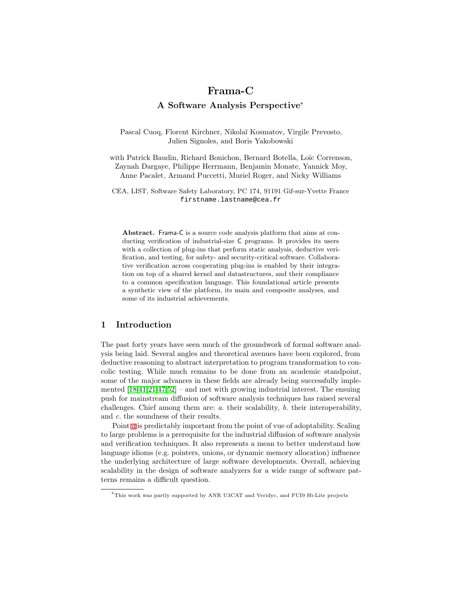# Frama-C

# A Software Analysis Perspective<sup>∗</sup>

Pascal Cuoq, Florent Kirchner, Nikola¨ı Kosmatov, Virgile Prevosto, Julien Signoles, and Boris Yakobowski

with Patrick Baudin, Richard Bonichon, Bernard Botella, Loïc Correnson, Zaynah Dargaye, Philippe Herrmann, Benjamin Monate, Yannick Moy, Anne Pacalet, Armand Puccetti, Muriel Roger, and Nicky Williams

CEA, LIST, Software Safety Laboratory, PC 174, 91191 Gif-sur-Yvette France firstname.lastname@cea.fr

Abstract. Frama-C is a source code analysis platform that aims at conducting verification of industrial-size C programs. It provides its users with a collection of plug-ins that perform static analysis, deductive verification, and testing, for safety- and security-critical software. Collaborative verification across cooperating plug-ins is enabled by their integration on top of a shared kernel and datastructures, and their compliance to a common specification language. This foundational article presents a synthetic view of the platform, its main and composite analyses, and some of its industrial achievements.

### 1 Introduction

The past forty years have seen much of the groundwork of formal software analysis being laid. Several angles and theoretical avenues have been explored, from deductive reasoning to abstract interpretation to program transformation to concolic testing. While much remains to be done from an academic standpoint, some of the major advances in these fields are already being successfully implemented  $[18,41,21,47,52]$  $[18,41,21,47,52]$  $[18,41,21,47,52]$  $[18,41,21,47,52]$  $[18,41,21,47,52]$  – and met with growing industrial interest. The ensuing push for mainstream diffusion of software analysis techniques has raised several challenges. Chief among them are: a. their scalability, b. their interoperability, and c. the soundness of their results.

<span id="page-0-2"></span><span id="page-0-1"></span><span id="page-0-0"></span>Point [a](#page-0-0) is predictably important from the point of vue of adoptability. Scaling to large problems is a prerequisite for the industrial diffusion of software analysis and verification techniques. It also represents a mean to better understand how language idioms (e.g. pointers, unions, or dynamic memory allocation) influence the underlying architecture of large software developments. Overall, achieving scalability in the design of software analyzers for a wide range of software patterns remains a difficult question.

<sup>∗</sup>This work was partly supported by ANR U3CAT and Veridyc, and FUI9 Hi-Lite projects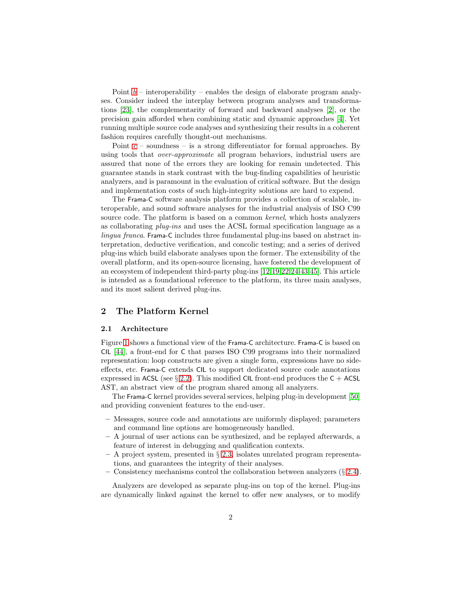Point  $b$  – interoperability – enables the design of elaborate program analyses. Consider indeed the interplay between program analyses and transformations [\[23\]](#page-13-2), the complementarity of forward and backward analyses [\[2\]](#page-12-0), or the precision gain afforded when combining static and dynamic approaches [\[4\]](#page-12-1). Yet running multiple source code analyses and synthesizing their results in a coherent fashion requires carefully thought-out mechanisms.

Point  $c$  – soundness – is a strong differentiator for formal approaches. By using tools that *over-approximate* all program behaviors, industrial users are assured that none of the errors they are looking for remain undetected. This guarantee stands in stark contrast with the bug-finding capabilities of heuristic analyzers, and is paramount in the evaluation of critical software. But the design and implementation costs of such high-integrity solutions are hard to expend.

The Frama-C software analysis platform provides a collection of scalable, interoperable, and sound software analyses for the industrial analysis of ISO C99 source code. The platform is based on a common kernel, which hosts analyzers as collaborating plug-ins and uses the ACSL formal specification language as a lingua franca. Frama-C includes three fundamental plug-ins based on abstract interpretation, deductive verification, and concolic testing; and a series of derived plug-ins which build elaborate analyses upon the former. The extensibility of the overall platform, and its open-source licensing, have fostered the development of an ecosystem of independent third-party plug-ins [\[12,](#page-13-3)[19](#page-13-4)[,22](#page-13-5)[,24](#page-13-6)[,43,](#page-14-3)[45\]](#page-14-4). This article is intended as a foundational reference to the platform, its three main analyses, and its most salient derived plug-ins.

# 2 The Platform Kernel

#### 2.1 Architecture

Figure [1](#page-2-0) shows a functional view of the Frama-C architecture. Frama-C is based on CIL [\[44\]](#page-14-5), a front-end for C that parses ISO C99 programs into their normalized representation: loop constructs are given a single form, expressions have no sideeffects, etc. Frama-C extends CIL to support dedicated source code annotations expressed in ACSL (see  $\S 2.2$ ). This modified CIL front-end produces the C + ACSL AST, an abstract view of the program shared among all analyzers.

The Frama-C kernel provides several services, helping plug-in development [\[50\]](#page-14-6) and providing convenient features to the end-user.

- Messages, source code and annotations are uniformly displayed; parameters and command line options are homogeneously handled.
- A journal of user actions can be synthesized, and be replayed afterwards, a feature of interest in debugging and qualification contexts.
- A project system, presented in § [2.3,](#page-3-0) isolates unrelated program representations, and guarantees the integrity of their analyses.
- Consistency mechanisms control the collaboration between analyzers (§ [2.4\)](#page-3-1).

Analyzers are developed as separate plug-ins on top of the kernel. Plug-ins are dynamically linked against the kernel to offer new analyses, or to modify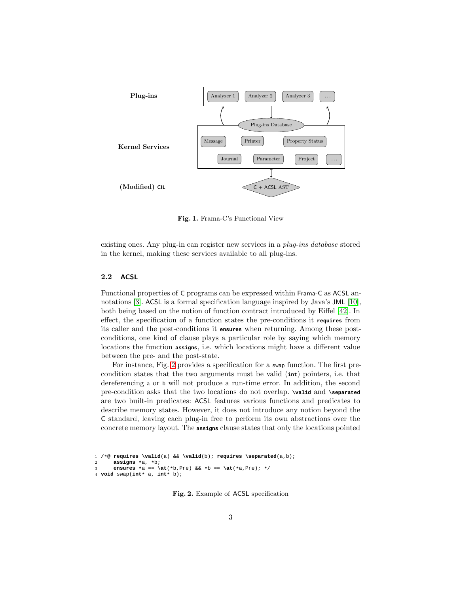

<span id="page-2-0"></span>Fig. 1. Frama-C's Functional View

existing ones. Any plug-in can register new services in a plug-ins database stored in the kernel, making these services available to all plug-ins.

#### <span id="page-2-1"></span>2.2 ACSL

Functional properties of C programs can be expressed within Frama-C as ACSL annotations [\[3\]](#page-12-2). ACSL is a formal specification language inspired by Java's JML [\[10\]](#page-13-7), both being based on the notion of function contract introduced by Eiffel [\[42\]](#page-14-7). In effect, the specification of a function states the pre-conditions it **requires** from its caller and the post-conditions it **ensures** when returning. Among these postconditions, one kind of clause plays a particular role by saying which memory locations the function **assigns**, i.e. which locations might have a different value between the pre- and the post-state.

For instance, Fig. [2](#page-2-2) provides a specification for a swap function. The first precondition states that the two arguments must be valid (**int**) pointers, i.e. that dereferencing <sup>a</sup> or <sup>b</sup> will not produce a run-time error. In addition, the second pre-condition asks that the two locations do not overlap. **\valid** and **\separated** are two built-in predicates: ACSL features various functions and predicates to describe memory states. However, it does not introduce any notion beyond the C standard, leaving each plug-in free to perform its own abstractions over the concrete memory layout. The **assigns** clause states that only the locations pointed

```
1 /*@ requires \valid(a) && \valid(b); requires \separated(a,b); <br>2 assions *a. *b;
2 assigns *a, *b;<br>3 ensures *a == \
       ensures *a == \atop*b, Pre) & *b == \atop*c, Pre); */c4 void swap(int* a, int* b);
```
<span id="page-2-2"></span>Fig. 2. Example of ACSL specification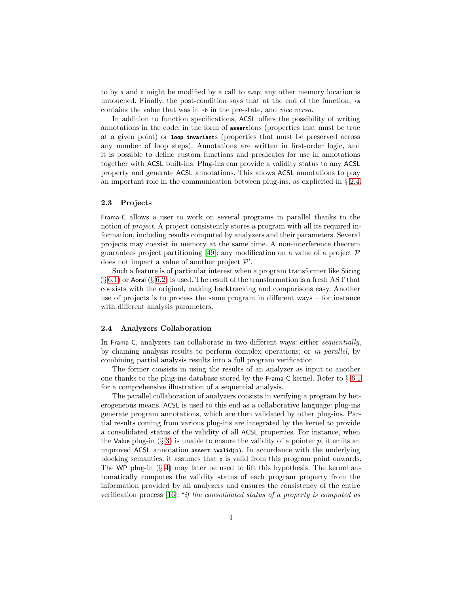to by <sup>a</sup> and <sup>b</sup> might be modified by a call to swap; any other memory location is untouched. Finally, the post-condition says that at the end of the function,  $\ast$ contains the value that was in \*b in the pre-state, and vice versa.

In addition to function specifications, ACSL offers the possibility of writing annotations in the code, in the form of **assert**ions (properties that must be true at a given point) or **loop invariant**s (properties that must be preserved across any number of loop steps). Annotations are written in first-order logic, and it is possible to define custom functions and predicates for use in annotations together with ACSL built-ins. Plug-ins can provide a validity status to any ACSL property and generate ACSL annotations. This allows ACSL annotations to play an important role in the communication between plug-ins, as explicited in § [2.4.](#page-3-1)

#### <span id="page-3-0"></span>2.3 Projects

Frama-C allows a user to work on several programs in parallel thanks to the notion of project. A project consistently stores a program with all its required information, including results computed by analyzers and their parameters. Several projects may coexist in memory at the same time. A non-interference theorem guarantees project partitioning [\[49\]](#page-14-8): any modification on a value of a project  $\mathcal P$ does not impact a value of another project  $\mathcal{P}'$ .

Such a feature is of particular interest when a program transformer like Slicing  $(\S 6.1)$  $(\S 6.1)$  or Aoraï  $(\S 6.2)$  $(\S 6.2)$  is used. The result of the transformation is a fresh AST that coexists with the original, making backtracking and comparisons easy. Another use of projects is to process the same program in different ways – for instance with different analysis parameters.

#### <span id="page-3-1"></span>2.4 Analyzers Collaboration

In Frama-C, analyzers can collaborate in two different ways: either sequentially, by chaining analysis results to perform complex operations; or in parallel, by combining partial analysis results into a full program verification.

The former consists in using the results of an analyzer as input to another one thanks to the plug-ins database stored by the Frama-C kernel. Refer to  $\S$  [6.1](#page-8-0) for a comprehensive illustration of a sequential analysis.

The parallel collaboration of analyzers consists in verifying a program by heterogeneous means. ACSL is used to this end as a collaborative language: plug-ins generate program annotations, which are then validated by other plug-ins. Partial results coming from various plug-ins are integrated by the kernel to provide a consolidated status of the validity of all ACSL properties. For instance, when the Value plug-in  $(\S 3)$  $(\S 3)$  is unable to ensure the validity of a pointer p, it emits an unproved ACSL annotation **assert \valid**(p). In accordance with the underlying blocking semantics, it assumes that  $\frac{1}{p}$  is valid from this program point onwards. The WP plug-in  $(\S 4)$  $(\S 4)$  may later be used to lift this hypothesis. The kernel automatically computes the validity status of each program property from the information provided by all analyzers and ensures the consistency of the entire verification process [\[16\]](#page-13-8): "if the consolidated status of a property is computed as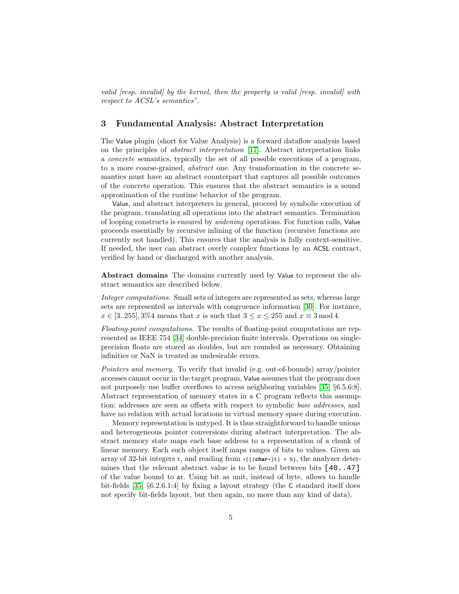valid [resp. invalid] by the kernel, then the property is valid [resp. invalid] with respect to ACSL's semantics".

# <span id="page-4-0"></span>3 Fundamental Analysis: Abstract Interpretation

The Value plugin (short for Value Analysis) is a forward dataflow analysis based on the principles of abstract interpretation [\[17\]](#page-13-9). Abstract interpretation links a concrete semantics, typically the set of all possible executions of a program, to a more coarse-grained, abstract one. Any transformation in the concrete semantics must have an abstract counterpart that captures all possible outcomes of the concrete operation. This ensures that the abstract semantics is a sound approximation of the runtime behavior of the program.

Value, and abstract interpreters in general, proceed by symbolic execution of the program, translating all operations into the abstract semantics. Termination of looping constructs is ensured by widening operations. For function calls, Value proceeds essentially by recursive inlining of the function (recursive functions are currently not handled). This ensures that the analysis is fully context-sensitive. If needed, the user can abstract overly complex functions by an ACSL contract, verified by hand or discharged with another analysis.

Abstract domains The domains currently used by Value to represent the abstract semantics are described below.

Integer computations. Small sets of integers are represented as sets, whereas large sets are represented as intervals with congruence information [\[30\]](#page-14-9). For instance,  $x \in [3..255], 3\%4$  means that x is such that  $3 \le x \le 255$  and  $x \equiv 3 \mod 4$ .

Floating-point computations. The results of floating-point computations are represented as IEEE 754 [\[34\]](#page-14-10) double-precision finite intervals. Operations on singleprecision floats are stored as doubles, but are rounded as necessary. Obtaining infinities or NaN is treated as undesirable errors.

Pointers and memory. To verify that invalid (e.g. out-of-bounds) array/pointer accesses cannot occur in the target program, Value assumes that the program does not purposely use buffer overflows to access neighboring variables [\[35,](#page-14-11) §6.5.6:8]. Abstract representation of memory states in a C program reflects this assumption: addresses are seen as offsets with respect to symbolic base addresses, and have no relation with actual locations in virtual memory space during execution.

Memory representation is untyped. It is thus straightforward to handle unions and heterogeneous pointer conversions during abstract interpretation. The abstract memory state maps each base address to a representation of a chunk of linear memory. Each such object itself maps ranges of bits to values. Given an array of 32-bit integers  $t$ , and reading from  $\star$ (((char $\star$ )t) + 5), the analyzer determines that the relevant abstract value is to be found between bits [40..47] of the value bound to  $\epsilon_t$ . Using bit as unit, instead of byte, allows to handle bit-fields [\[35,](#page-14-11) §6.2.6.1:4] by fixing a layout strategy (the C standard itself does not specify bit-fields layout, but then again, no more than any kind of data).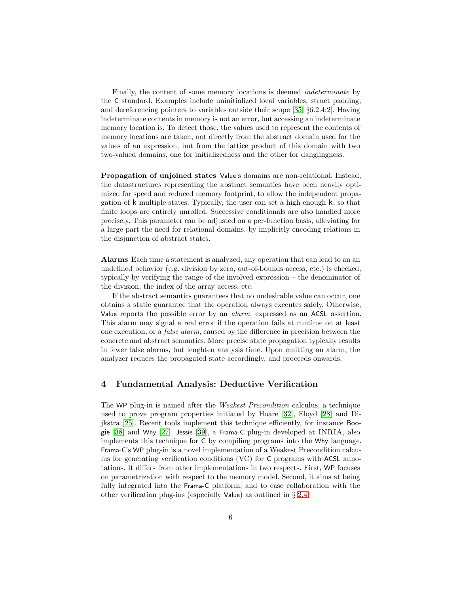Finally, the content of some memory locations is deemed indeterminate by the C standard. Examples include uninitialized local variables, struct padding, and dereferencing pointers to variables outside their scope [\[35,](#page-14-11) §6.2.4:2]. Having indeterminate contents in memory is not an error, but accessing an indeterminate memory location is. To detect those, the values used to represent the contents of memory locations are taken, not directly from the abstract domain used for the values of an expression, but from the lattice product of this domain with two two-valued domains, one for initializedness and the other for danglingness.

Propagation of unjoined states Value's domains are non-relational. Instead, the datastructures representing the abstract semantics have been heavily optimized for speed and reduced memory footprint, to allow the independent propagation of k multiple states. Typically, the user can set a high enough k, so that finite loops are entirely unrolled. Successive conditionals are also handled more precisely. This parameter can be adjusted on a per-function basis, alleviating for a large part the need for relational domains, by implicitly encoding relations in the disjunction of abstract states.

Alarms Each time a statement is analyzed, any operation that can lead to an an undefined behavior (e.g. division by zero, out-of-bounds access, etc.) is checked, typically by verifying the range of the involved expression – the denominator of the division, the index of the array access, etc.

If the abstract semantics guarantees that no undesirable value can occur, one obtains a static guarantee that the operation always executes safely. Otherwise, Value reports the possible error by an alarm, expressed as an ACSL assertion. This alarm may signal a real error if the operation fails at runtime on at least one execution, or a false alarm, caused by the difference in precision between the concrete and abstract semantics. More precise state propagation typically results in fewer false alarms, but lenghten analysis time. Upon emitting an alarm, the analyzer reduces the propagated state accordingly, and proceeds onwards.

### <span id="page-5-0"></span>4 Fundamental Analysis: Deductive Verification

The WP plug-in is named after the Weakest Precondition calculus, a technique used to prove program properties initiated by Hoare [\[32\]](#page-14-12), Floyd [\[28\]](#page-13-10) and Dijkstra [\[25\]](#page-13-11). Recent tools implement this technique efficiently, for instance Boogie [\[38\]](#page-14-13) and Why [\[27\]](#page-13-12). Jessie [\[39\]](#page-14-14), a Frama-C plug-in developed at INRIA, also implements this technique for C by compiling programs into the Why language. Frama-C's WP plug-in is a novel implementation of a Weakest Precondition calculus for generating verification conditions (VC) for C programs with ACSL annotations. It differs from other implementations in two respects. First, WP focuses on parametrization with respect to the memory model. Second, it aims at being fully integrated into the Frama-C platform, and to ease collaboration with the other verification plug-ins (especially Value) as outlined in § [2.4.](#page-3-1)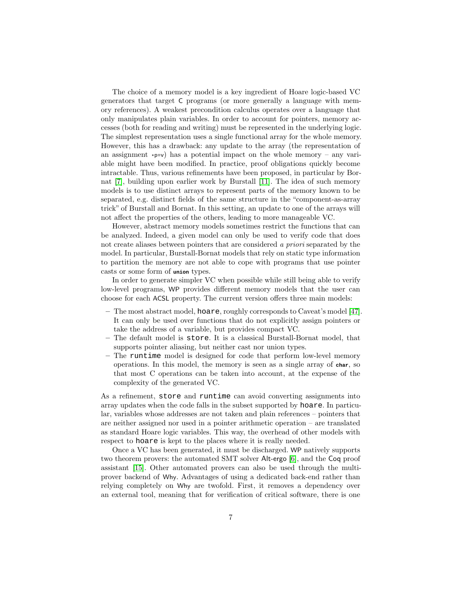The choice of a memory model is a key ingredient of Hoare logic-based VC generators that target C programs (or more generally a language with memory references). A weakest precondition calculus operates over a language that only manipulates plain variables. In order to account for pointers, memory accesses (both for reading and writing) must be represented in the underlying logic. The simplest representation uses a single functional array for the whole memory. However, this has a drawback: any update to the array (the representation of an assignment  $_{\star p=\mathrm{v}}$  has a potential impact on the whole memory – any variable might have been modified. In practice, proof obligations quickly become intractable. Thus, various refinements have been proposed, in particular by Bornat [\[7\]](#page-13-13), building upon earlier work by Burstall [\[11\]](#page-13-14). The idea of such memory models is to use distinct arrays to represent parts of the memory known to be separated, e.g. distinct fields of the same structure in the "component-as-array trick" of Burstall and Bornat. In this setting, an update to one of the arrays will not affect the properties of the others, leading to more manageable VC.

However, abstract memory models sometimes restrict the functions that can be analyzed. Indeed, a given model can only be used to verify code that does not create aliases between pointers that are considered a priori separated by the model. In particular, Burstall-Bornat models that rely on static type information to partition the memory are not able to cope with programs that use pointer casts or some form of **union** types.

In order to generate simpler VC when possible while still being able to verify low-level programs, WP provides different memory models that the user can choose for each ACSL property. The current version offers three main models:

- The most abstract model, hoare, roughly corresponds to Caveat's model [\[47\]](#page-14-1). It can only be used over functions that do not explicitly assign pointers or take the address of a variable, but provides compact VC.
- The default model is store. It is a classical Burstall-Bornat model, that supports pointer aliasing, but neither cast nor union types.
- The runtime model is designed for code that perform low-level memory operations. In this model, the memory is seen as a single array of **char**, so that most C operations can be taken into account, at the expense of the complexity of the generated VC.

As a refinement, store and runtime can avoid converting assignments into array updates when the code falls in the subset supported by hoare. In particular, variables whose addresses are not taken and plain references – pointers that are neither assigned nor used in a pointer arithmetic operation – are translated as standard Hoare logic variables. This way, the overhead of other models with respect to hoare is kept to the places where it is really needed.

Once a VC has been generated, it must be discharged. WP natively supports two theorem provers: the automated SMT solver Alt-ergo [\[6\]](#page-13-15), and the Coq proof assistant [\[15\]](#page-13-16). Other automated provers can also be used through the multiprover backend of Why. Advantages of using a dedicated back-end rather than relying completely on Why are twofold. First, it removes a dependency over an external tool, meaning that for verification of critical software, there is one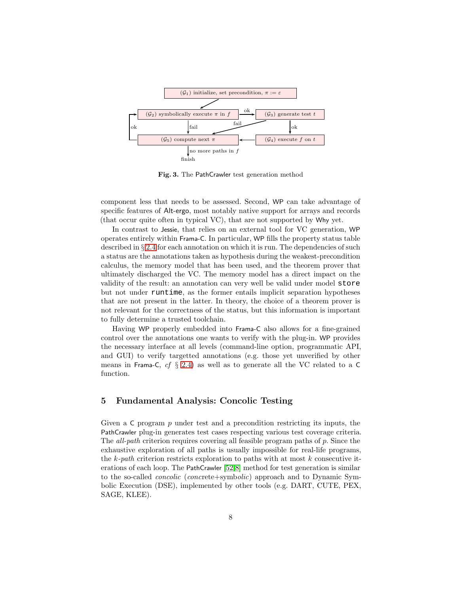

<span id="page-7-0"></span>Fig. 3. The PathCrawler test generation method

component less that needs to be assessed. Second, WP can take advantage of specific features of Alt-ergo, most notably native support for arrays and records (that occur quite often in typical VC), that are not supported by Why yet.

In contrast to Jessie, that relies on an external tool for VC generation, WP operates entirely within Frama-C. In particular, WP fills the property status table described in  $\S 2.4$  $\S 2.4$  for each annotation on which it is run. The dependencies of such a status are the annotations taken as hypothesis during the weakest-precondition calculus, the memory model that has been used, and the theorem prover that ultimately discharged the VC. The memory model has a direct impact on the validity of the result: an annotation can very well be valid under model store but not under runtime, as the former entails implicit separation hypotheses that are not present in the latter. In theory, the choice of a theorem prover is not relevant for the correctness of the status, but this information is important to fully determine a trusted toolchain.

Having WP properly embedded into Frama-C also allows for a fine-grained control over the annotations one wants to verify with the plug-in. WP provides the necessary interface at all levels (command-line option, programmatic API, and GUI) to verify targetted annotations (e.g. those yet unverified by other means in Frama-C,  $cf \S 2.4$  as well as to generate all the VC related to a C function.

### 5 Fundamental Analysis: Concolic Testing

Given a  $\mathsf C$  program  $p$  under test and a precondition restricting its inputs, the PathCrawler plug-in generates test cases respecting various test coverage criteria. The all-path criterion requires covering all feasible program paths of p. Since the exhaustive exploration of all paths is usually impossible for real-life programs, the k-path criterion restricts exploration to paths with at most  $k$  consecutive iterations of each loop. The PathCrawler [\[52](#page-14-2)[,8\]](#page-13-17) method for test generation is similar to the so-called concolic (concrete+symbolic) approach and to Dynamic Symbolic Execution (DSE), implemented by other tools (e.g. DART, CUTE, PEX, SAGE, KLEE).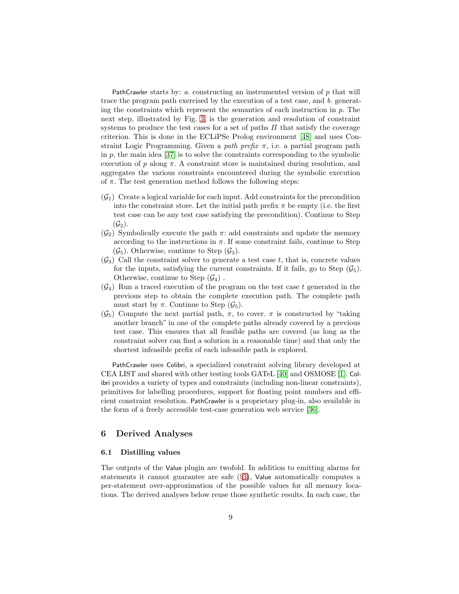PathCrawler starts by:  $a$ . constructing an instrumented version of  $p$  that will trace the program path exercised by the execution of a test case, and b. generating the constraints which represent the semantics of each instruction in  $p$ . The next step, illustrated by Fig. [3,](#page-7-0) is the generation and resolution of constraint systems to produce the test cases for a set of paths  $\Pi$  that satisfy the coverage criterion. This is done in the ECLiPSe Prolog environment [\[48\]](#page-14-15) and uses Constraint Logic Programming. Given a path prefix  $\pi$ , i.e. a partial program path in  $p$ , the main idea [\[37\]](#page-14-16) is to solve the constraints corresponding to the symbolic execution of p along  $\pi$ . A constraint store is maintained during resolution, and aggregates the various constraints encountered during the symbolic execution of  $\pi$ . The test generation method follows the following steps:

- $(\mathcal{G}_1)$  Create a logical variable for each input. Add constraints for the precondition into the constraint store. Let the initial path prefix  $\pi$  be empty (i.e. the first test case can be any test case satisfying the precondition). Continue to Step  $(\mathcal{G}_2)$ .
- $(\mathcal{G}_2)$  Symbolically execute the path  $\pi$ : add constraints and update the memory according to the instructions in  $\pi$ . If some constraint fails, continue to Step  $(\mathcal{G}_5)$ . Otherwise, continue to Step  $(\mathcal{G}_3)$ .
- $(\mathcal{G}_3)$  Call the constraint solver to generate a test case t, that is, concrete values for the inputs, satisfying the current constraints. If it fails, go to Step  $(\mathcal{G}_5)$ . Otherwise, continue to Step  $(\mathcal{G}_4)$ .
- $(\mathcal{G}_4)$  Run a traced execution of the program on the test case t generated in the previous step to obtain the complete execution path. The complete path must start by  $\pi$ . Continue to Step  $(\mathcal{G}_5)$ .
- $(\mathcal{G}_5)$  Compute the next partial path,  $\pi$ , to cover.  $\pi$  is constructed by "taking" another branch" in one of the complete paths already covered by a previous test case. This ensures that all feasible paths are covered (as long as the constraint solver can find a solution in a reasonable time) and that only the shortest infeasible prefix of each infeasible path is explored.

PathCrawler uses Colibri, a specialized constraint solving library developed at CEA LIST and shared with other testing tools GATeL [\[40\]](#page-14-17) and OSMOSE [\[1\]](#page-12-3). Colibri provides a variety of types and constraints (including non-linear constraints), primitives for labelling procedures, support for floating point numbers and efficient constraint resolution. PathCrawler is a proprietary plug-in, also available in the form of a freely accessible test-case generation web service [\[36\]](#page-14-18).

# 6 Derived Analyses

#### <span id="page-8-0"></span>6.1 Distilling values

The outputs of the Value plugin are twofold. In addition to emitting alarms for statements it cannot guarantee are safe  $(\S 3)$  $(\S 3)$ , Value automatically computes a per-statement over-approximation of the possible values for all memory locations. The derived analyses below reuse those synthetic results. In each case, the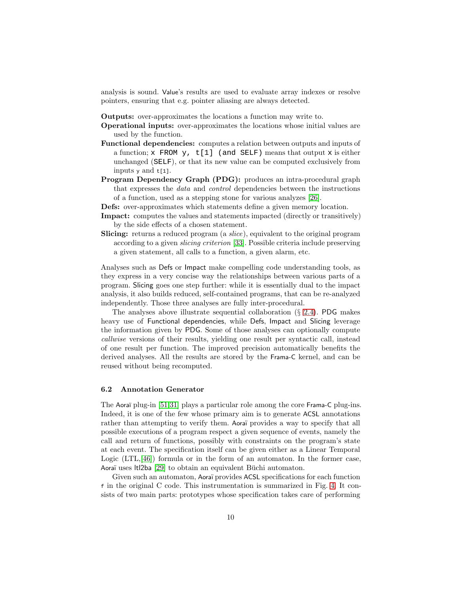analysis is sound. Value's results are used to evaluate array indexes or resolve pointers, ensuring that e.g. pointer aliasing are always detected.

Outputs: over-approximates the locations a function may write to.

- Operational inputs: over-approximates the locations whose initial values are used by the function.
- Functional dependencies: computes a relation between outputs and inputs of a function;  $x$  FROM  $y$ ,  $t[1]$  (and SELF) means that output  $x$  is either unchanged (SELF), or that its new value can be computed exclusively from inputs  $_{\rm y}$  and  $_{\rm t[1]}$ .
- Program Dependency Graph (PDG): produces an intra-procedural graph that expresses the data and control dependencies between the instructions of a function, used as a stepping stone for various analyzes [\[26\]](#page-13-18).
- Defs: over-approximates which statements define a given memory location.
- Impact: computes the values and statements impacted (directly or transitively) by the side effects of a chosen statement.
- Slicing: returns a reduced program (a slice), equivalent to the original program according to a given slicing criterion [\[33\]](#page-14-19). Possible criteria include preserving a given statement, all calls to a function, a given alarm, etc.

Analyses such as Defs or Impact make compelling code understanding tools, as they express in a very concise way the relationships between various parts of a program. Slicing goes one step further: while it is essentially dual to the impact analysis, it also builds reduced, self-contained programs, that can be re-analyzed independently. Those three analyses are fully inter-procedural.

The analyses above illustrate sequential collaboration (§ [2.4\)](#page-3-1). PDG makes heavy use of Functional dependencies, while Defs, Impact and Slicing leverage the information given by PDG. Some of those analyses can optionally compute callwise versions of their results, yielding one result per syntactic call, instead of one result per function. The improved precision automatically benefits the derived analyses. All the results are stored by the Frama-C kernel, and can be reused without being recomputed.

#### <span id="page-9-0"></span>6.2 Annotation Generator

The Aoraï plug-in [\[51,](#page-14-20)[31\]](#page-14-21) plays a particular role among the core Frama-C plug-ins. Indeed, it is one of the few whose primary aim is to generate ACSL annotations rather than attempting to verify them. Aora¨ı provides a way to specify that all possible executions of a program respect a given sequence of events, namely the call and return of functions, possibly with constraints on the program's state at each event. The specification itself can be given either as a Linear Temporal Logic  $(LTL, [46])$  $(LTL, [46])$  $(LTL, [46])$  formula or in the form of an automaton. In the former case, Aoraï uses ltl2ba [\[29\]](#page-14-23) to obtain an equivalent Büchi automaton.

Given such an automaton, Aora¨ı provides ACSL specifications for each function <sup>f</sup> in the original C code. This instrumentation is summarized in Fig. [4.](#page-10-0) It consists of two main parts: prototypes whose specification takes care of performing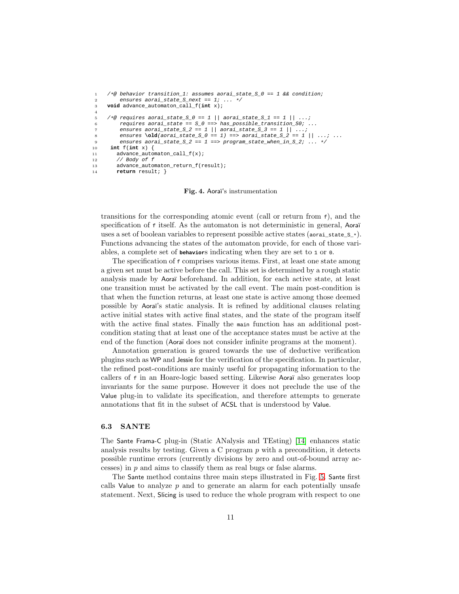```
1 /*@ behavior transition_1: assumes aorai_state_S_0 == 1 && condition;<br>2 ensures aorai state S next == 1; ... */
2 ensures aorai_state_S_next == 1; \ldots */<br>3 void advance automaton call f(int x):
      3 void advance_automaton_call_f(int x);
 4
5 /*@ requires aorai_state_S_0 == 1 || aorai_state_S_1 == 1 || ...;<br>6 requires aorai state == S_0 ==> has possible transition S0:
           requires aorai_state == S_0 ==> has_possible_transition_S0; ...
 7 ensures aorai_state_S_2 == 1 || aorai_state_S_3 == 1 || ...;
8 ensures \old(aorai_state_S_0 == 1) ==> aorai_state_S_2 == 1 || ...; ...
9 ensures aorai_state_S_2 == 1 ==> program_state_when_in_S_2; ... */<br>10 int f(int x) {
        10 int f(int x) {
11 advance_automaton_call_f(x);
12 // Body of f
13 advance automaton return f(result);
14 return result; }
```
<span id="page-10-0"></span>Fig. 4. Aoraï's instrumentation

transitions for the corresponding atomic event (call or return from  $\epsilon$ ), and the specification of  $\epsilon$  itself. As the automaton is not deterministic in general, Aoraï uses a set of boolean variables to represent possible active states  $(\text{aorai\_state\_s\_*}).$ Functions advancing the states of the automaton provide, for each of those variables, a complete set of **behavior**s indicating when they are set to <sup>1</sup> or <sup>0</sup>.

The specification of  $f$  comprises various items. First, at least one state among a given set must be active before the call. This set is determined by a rough static analysis made by Aoraï beforehand. In addition, for each active state, at least one transition must be activated by the call event. The main post-condition is that when the function returns, at least one state is active among those deemed possible by Aora¨ı's static analysis. It is refined by additional clauses relating active initial states with active final states, and the state of the program itself with the active final states. Finally the main function has an additional postcondition stating that at least one of the acceptance states must be active at the end of the function (Aoraï does not consider infinite programs at the moment).

Annotation generation is geared towards the use of deductive verification plugins such as WP and Jessie for the verification of the specification. In particular, the refined post-conditions are mainly useful for propagating information to the callers of  $f$  in an Hoare-logic based setting. Likewise Aoraï also generates loop invariants for the same purpose. However it does not preclude the use of the Value plug-in to validate its specification, and therefore attempts to generate annotations that fit in the subset of ACSL that is understood by Value.

#### 6.3 SANTE

The Sante Frama-C plug-in (Static ANalysis and TEsting) [\[14\]](#page-13-19) enhances static analysis results by testing. Given a  $C$  program  $p$  with a precondition, it detects possible runtime errors (currently divisions by zero and out-of-bound array accesses) in p and aims to classify them as real bugs or false alarms.

The Sante method contains three main steps illustrated in Fig. [5.](#page-11-0) Sante first calls Value to analyze  $p$  and to generate an alarm for each potentially unsafe statement. Next, Slicing is used to reduce the whole program with respect to one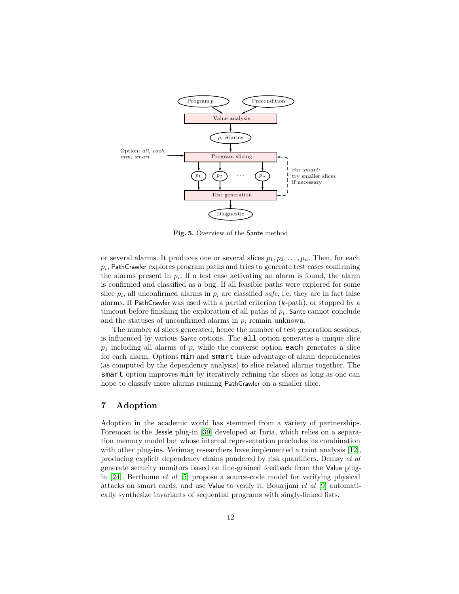

<span id="page-11-0"></span>Fig. 5. Overview of the Sante method

or several alarms. It produces one or several slices  $p_1, p_2, \ldots, p_n$ . Then, for each  $p_i$ , PathCrawler explores program paths and tries to generate test cases confirming the alarms present in  $p_i$ . If a test case activating an alarm is found, the alarm is confirmed and classified as a bug. If all feasible paths were explored for some slice  $p_i$ , all unconfirmed alarms in  $p_i$  are classified *safe*, i.e. they are in fact false alarms. If PathCrawler was used with a partial criterion  $(k$ -path), or stopped by a timeout before finishing the exploration of all paths of  $p_i$ , Sante cannot conclude and the statuses of unconfirmed alarms in  $p_i$  remain unknown.

The number of slices generated, hence the number of test generation sessions, is influenced by various Sante options. The all option generates a unique slice  $p_1$  including all alarms of p, while the converse option each generates a slice for each alarm. Options min and smart take advantage of alarm dependencies (as computed by the dependency analysis) to slice related alarms together. The smart option improves min by iteratively refining the slices as long as one can hope to classify more alarms running PathCrawler on a smaller slice.

### 7 Adoption

Adoption in the academic world has stemmed from a variety of partnerships. Foremost is the Jessie plug-in [\[39\]](#page-14-14) developed at Inria, which relies on a separation memory model but whose internal representation precludes its combination with other plug-ins. Verimag researchers have implemented a taint analysis [\[12\]](#page-13-3), producing explicit dependency chains pondered by risk quantifiers. Demay et al generate security monitors based on fine-grained feedback from the Value plugin [\[24\]](#page-13-6). Berthome et al [\[5\]](#page-12-4) propose a source-code model for verifying physical attacks on smart cards, and use Value to verify it. Bouajjani et al [\[9\]](#page-13-20) automatically synthesize invariants of sequential programs with singly-linked lists.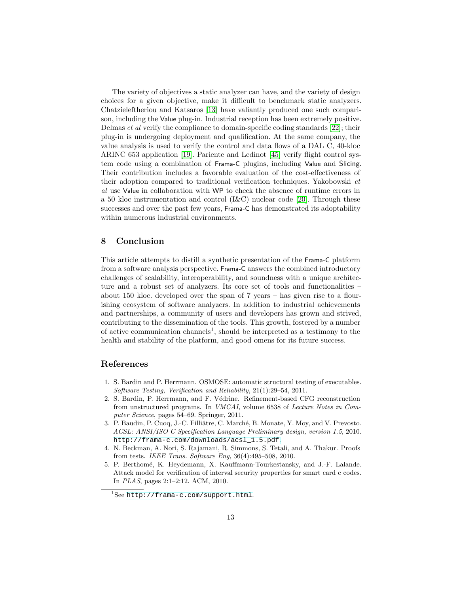The variety of objectives a static analyzer can have, and the variety of design choices for a given objective, make it difficult to benchmark static analyzers. Chatzieleftheriou and Katsaros [\[13\]](#page-13-21) have valiantly produced one such comparison, including the Value plug-in. Industrial reception has been extremely positive. Delmas et al verify the compliance to domain-specific coding standards [\[22\]](#page-13-5); their plug-in is undergoing deployment and qualification. At the same company, the value analysis is used to verify the control and data flows of a DAL C, 40-kloc ARINC 653 application [\[19\]](#page-13-4). Pariente and Ledinot [\[45\]](#page-14-4) verify flight control system code using a combination of Frama-C plugins, including Value and Slicing. Their contribution includes a favorable evaluation of the cost-effectiveness of their adoption compared to traditional verification techniques. Yakobowski et al use Value in collaboration with WP to check the absence of runtime errors in a 50 kloc instrumentation and control (I&C) nuclear code [\[20\]](#page-13-22). Through these successes and over the past few years, Frama-C has demonstrated its adoptability within numerous industrial environments.

# 8 Conclusion

This article attempts to distill a synthetic presentation of the Frama-C platform from a software analysis perspective. Frama-C answers the combined introductory challenges of scalability, interoperability, and soundness with a unique architecture and a robust set of analyzers. Its core set of tools and functionalities – about 150 kloc. developed over the span of 7 years – has given rise to a flourishing ecosystem of software analyzers. In addition to industrial achievements and partnerships, a community of users and developers has grown and strived, contributing to the dissemination of the tools. This growth, fostered by a number of active communication channels<sup>1</sup>, should be interpreted as a testimony to the health and stability of the platform, and good omens for its future success.

### References

- <span id="page-12-3"></span>1. S. Bardin and P. Herrmann. OSMOSE: automatic structural testing of executables. *Software Testing, Verification and Reliability*, 21(1):29–54, 2011.
- <span id="page-12-0"></span>2. S. Bardin, P. Herrmann, and F. Védrine. Refinement-based CFG reconstruction from unstructured programs. In *VMCAI*, volume 6538 of *Lecture Notes in Computer Science*, pages 54–69. Springer, 2011.
- <span id="page-12-2"></span>3. P. Baudin, P. Cuoq, J.-C. Filliâtre, C. Marché, B. Monate, Y. Moy, and V. Prevosto. *ACSL: ANSI/ISO C Specification Language Preliminary design, version 1.5*, 2010. [http://frama-c.com/downloads/acsl\\_1.5.pdf](http://frama-c.com/downloads/acsl_1.5.pdf).
- <span id="page-12-1"></span>4. N. Beckman, A. Nori, S. Rajamani, R. Simmons, S. Tetali, and A. Thakur. Proofs from tests. *IEEE Trans. Software Eng*, 36(4):495–508, 2010.
- <span id="page-12-4"></span>5. P. Berthom´e, K. Heydemann, X. Kauffmann-Tourkestansky, and J.-F. Lalande. Attack model for verification of interval security properties for smart card c codes. In *PLAS*, pages 2:1–2:12. ACM, 2010.

 $1$ See <http://frama-c.com/support.html>.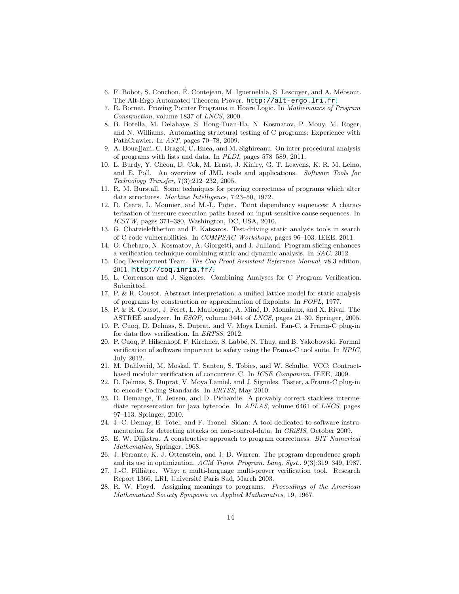- <span id="page-13-15"></span><span id="page-13-13"></span>6. F. Bobot, S. Conchon, E. Contejean, M. Iguernelala, S. Lescuyer, and A. Mebsout. ´ The Alt-Ergo Automated Theorem Prover. <http://alt-ergo.lri.fr>.
- <span id="page-13-17"></span>7. R. Bornat. Proving Pointer Programs in Hoare Logic. In *Mathematics of Program Construction*, volume 1837 of *LNCS*, 2000.
- 8. B. Botella, M. Delahaye, S. Hong-Tuan-Ha, N. Kosmatov, P. Mouy, M. Roger, and N. Williams. Automating structural testing of C programs: Experience with PathCrawler. In *AST*, pages 70–78, 2009.
- <span id="page-13-20"></span>9. A. Bouajjani, C. Dragoi, C. Enea, and M. Sighireanu. On inter-procedural analysis of programs with lists and data. In *PLDI*, pages 578–589, 2011.
- <span id="page-13-7"></span>10. L. Burdy, Y. Cheon, D. Cok, M. Ernst, J. Kiniry, G. T. Leavens, K. R. M. Leino, and E. Poll. An overview of JML tools and applications. *Software Tools for Technology Transfer*, 7(3):212–232, 2005.
- <span id="page-13-14"></span><span id="page-13-3"></span>11. R. M. Burstall. Some techniques for proving correctness of programs which alter data structures. *Machine Intelligence*, 7:23–50, 1972.
- 12. D. Ceara, L. Mounier, and M.-L. Potet. Taint dependency sequences: A characterization of insecure execution paths based on input-sensitive cause sequences. In *ICSTW*, pages 371–380, Washington, DC, USA, 2010.
- <span id="page-13-21"></span>13. G. Chatzieleftheriou and P. Katsaros. Test-driving static analysis tools in search of C code vulnerabilities. In *COMPSAC Workshops*, pages 96–103. IEEE, 2011.
- <span id="page-13-19"></span>14. O. Chebaro, N. Kosmatov, A. Giorgetti, and J. Julliand. Program slicing enhances a verification technique combining static and dynamic analysis. In *SAC*, 2012.
- <span id="page-13-16"></span>15. Coq Development Team. *The Coq Proof Assistant Reference Manual*, v8.3 edition, 2011. <http://coq.inria.fr/>.
- <span id="page-13-9"></span><span id="page-13-8"></span>16. L. Correnson and J. Signoles. Combining Analyses for C Program Verification. Submitted.
- 17. P. & R. Cousot. Abstract interpretation: a unified lattice model for static analysis of programs by construction or approximation of fixpoints. In *POPL*, 1977.
- <span id="page-13-0"></span>18. P. & R. Cousot, J. Feret, L. Mauborgne, A. Miné, D. Monniaux, and X. Rival. The ASTREÉ analyzer. In *ESOP*, volume 3444 of *LNCS*, pages 21–30. Springer, 2005.
- <span id="page-13-4"></span>19. P. Cuoq, D. Delmas, S. Duprat, and V. Moya Lamiel. Fan-C, a Frama-C plug-in for data flow verification. In *ERTSS*, 2012.
- <span id="page-13-22"></span>20. P. Cuoq, P. Hilsenkopf, F. Kirchner, S. Labb´e, N. Thuy, and B. Yakobowski. Formal verification of software important to safety using the Frama-C tool suite. In *NPIC*, July 2012.
- <span id="page-13-1"></span>21. M. Dahlweid, M. Moskal, T. Santen, S. Tobies, and W. Schulte. VCC: Contractbased modular verification of concurrent C. In *ICSE Companion*. IEEE, 2009.
- <span id="page-13-5"></span>22. D. Delmas, S. Duprat, V. Moya Lamiel, and J. Signoles. Taster, a Frama-C plug-in to encode Coding Standards. In *ERTSS*, May 2010.
- <span id="page-13-2"></span>23. D. Demange, T. Jensen, and D. Pichardie. A provably correct stackless intermediate representation for java bytecode. In *APLAS*, volume 6461 of *LNCS*, pages 97–113. Springer, 2010.
- <span id="page-13-6"></span>24. J.-C. Demay, E. Totel, and F. Tronel. Sidan: A tool dedicated to software instrumentation for detecting attacks on non-control-data. In *CRiSIS*, October 2009.
- <span id="page-13-11"></span>25. E. W. Dijkstra. A constructive approach to program correctness. *BIT Numerical Mathematics*, Springer, 1968.
- <span id="page-13-18"></span>26. J. Ferrante, K. J. Ottenstein, and J. D. Warren. The program dependence graph and its use in optimization. *ACM Trans. Program. Lang. Syst.*, 9(3):319–349, 1987.
- <span id="page-13-12"></span>27. J.-C. Filliâtre. Why: a multi-language multi-prover verification tool. Research Report 1366, LRI, Université Paris Sud, March 2003.
- <span id="page-13-10"></span>28. R. W. Floyd. Assigning meanings to programs. *Proceedings of the American Mathematical Society Symposia on Applied Mathematics*, 19, 1967.